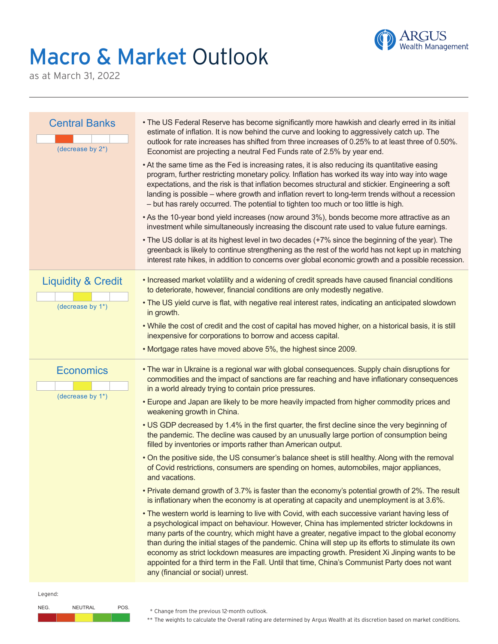## Macro & Market Outlook



as at March 31, 2022

| <b>Central Banks</b><br>(decrease by $2^*$ ) | • The US Federal Reserve has become significantly more hawkish and clearly erred in its initial<br>estimate of inflation. It is now behind the curve and looking to aggressively catch up. The<br>outlook for rate increases has shifted from three increases of 0.25% to at least three of 0.50%.<br>Economist are projecting a neutral Fed Funds rate of 2.5% by year end.<br>• At the same time as the Fed is increasing rates, it is also reducing its quantitative easing<br>program, further restricting monetary policy. Inflation has worked its way into way into wage<br>expectations, and the risk is that inflation becomes structural and stickier. Engineering a soft<br>landing is possible - where growth and inflation revert to long-term trends without a recession<br>- but has rarely occurred. The potential to tighten too much or too little is high.<br>• As the 10-year bond yield increases (now around 3%), bonds become more attractive as an<br>investment while simultaneously increasing the discount rate used to value future earnings.<br>• The US dollar is at its highest level in two decades (+7% since the beginning of the year). The<br>greenback is likely to continue strengthening as the rest of the world has not kept up in matching<br>interest rate hikes, in addition to concerns over global economic growth and a possible recession. |
|----------------------------------------------|--------------------------------------------------------------------------------------------------------------------------------------------------------------------------------------------------------------------------------------------------------------------------------------------------------------------------------------------------------------------------------------------------------------------------------------------------------------------------------------------------------------------------------------------------------------------------------------------------------------------------------------------------------------------------------------------------------------------------------------------------------------------------------------------------------------------------------------------------------------------------------------------------------------------------------------------------------------------------------------------------------------------------------------------------------------------------------------------------------------------------------------------------------------------------------------------------------------------------------------------------------------------------------------------------------------------------------------------------------------------------------------------|
| <b>Liquidity &amp; Credit</b>                | • Increased market volatility and a widening of credit spreads have caused financial conditions<br>to deteriorate, however, financial conditions are only modestly negative.<br>. The US yield curve is flat, with negative real interest rates, indicating an anticipated slowdown                                                                                                                                                                                                                                                                                                                                                                                                                                                                                                                                                                                                                                                                                                                                                                                                                                                                                                                                                                                                                                                                                                        |
| (decrease by 1*)                             | in growth.                                                                                                                                                                                                                                                                                                                                                                                                                                                                                                                                                                                                                                                                                                                                                                                                                                                                                                                                                                                                                                                                                                                                                                                                                                                                                                                                                                                 |
|                                              | . While the cost of credit and the cost of capital has moved higher, on a historical basis, it is still<br>inexpensive for corporations to borrow and access capital.                                                                                                                                                                                                                                                                                                                                                                                                                                                                                                                                                                                                                                                                                                                                                                                                                                                                                                                                                                                                                                                                                                                                                                                                                      |
|                                              | . Mortgage rates have moved above 5%, the highest since 2009.                                                                                                                                                                                                                                                                                                                                                                                                                                                                                                                                                                                                                                                                                                                                                                                                                                                                                                                                                                                                                                                                                                                                                                                                                                                                                                                              |
| <b>Economics</b>                             | . The war in Ukraine is a regional war with global consequences. Supply chain disruptions for<br>commodities and the impact of sanctions are far reaching and have inflationary consequences<br>in a world already trying to contain price pressures.                                                                                                                                                                                                                                                                                                                                                                                                                                                                                                                                                                                                                                                                                                                                                                                                                                                                                                                                                                                                                                                                                                                                      |
| (decrease by 1*)                             | . Europe and Japan are likely to be more heavily impacted from higher commodity prices and<br>weakening growth in China.                                                                                                                                                                                                                                                                                                                                                                                                                                                                                                                                                                                                                                                                                                                                                                                                                                                                                                                                                                                                                                                                                                                                                                                                                                                                   |
|                                              | • US GDP decreased by 1.4% in the first quarter, the first decline since the very beginning of<br>the pandemic. The decline was caused by an unusually large portion of consumption being<br>filled by inventories or imports rather than American output.                                                                                                                                                                                                                                                                                                                                                                                                                                                                                                                                                                                                                                                                                                                                                                                                                                                                                                                                                                                                                                                                                                                                 |
|                                              | . On the positive side, the US consumer's balance sheet is still healthy. Along with the removal<br>of Covid restrictions, consumers are spending on homes, automobiles, major appliances,<br>and vacations.                                                                                                                                                                                                                                                                                                                                                                                                                                                                                                                                                                                                                                                                                                                                                                                                                                                                                                                                                                                                                                                                                                                                                                               |
|                                              | • Private demand growth of 3.7% is faster than the economy's potential growth of 2%. The result<br>is inflationary when the economy is at operating at capacity and unemployment is at 3.6%.                                                                                                                                                                                                                                                                                                                                                                                                                                                                                                                                                                                                                                                                                                                                                                                                                                                                                                                                                                                                                                                                                                                                                                                               |
|                                              | • The western world is learning to live with Covid, with each successive variant having less of<br>a psychological impact on behaviour. However, China has implemented stricter lockdowns in<br>many parts of the country, which might have a greater, negative impact to the global economy<br>than during the initial stages of the pandemic. China will step up its efforts to stimulate its own<br>economy as strict lockdown measures are impacting growth. President Xi Jinping wants to be<br>appointed for a third term in the Fall. Until that time, China's Communist Party does not want<br>any (financial or social) unrest.                                                                                                                                                                                                                                                                                                                                                                                                                                                                                                                                                                                                                                                                                                                                                   |
| Legend:                                      |                                                                                                                                                                                                                                                                                                                                                                                                                                                                                                                                                                                                                                                                                                                                                                                                                                                                                                                                                                                                                                                                                                                                                                                                                                                                                                                                                                                            |



\* Change from the previous 12-month outlook.

\*\* The weights to calculate the Overall rating are determined by Argus Wealth at its discretion based on market conditions.